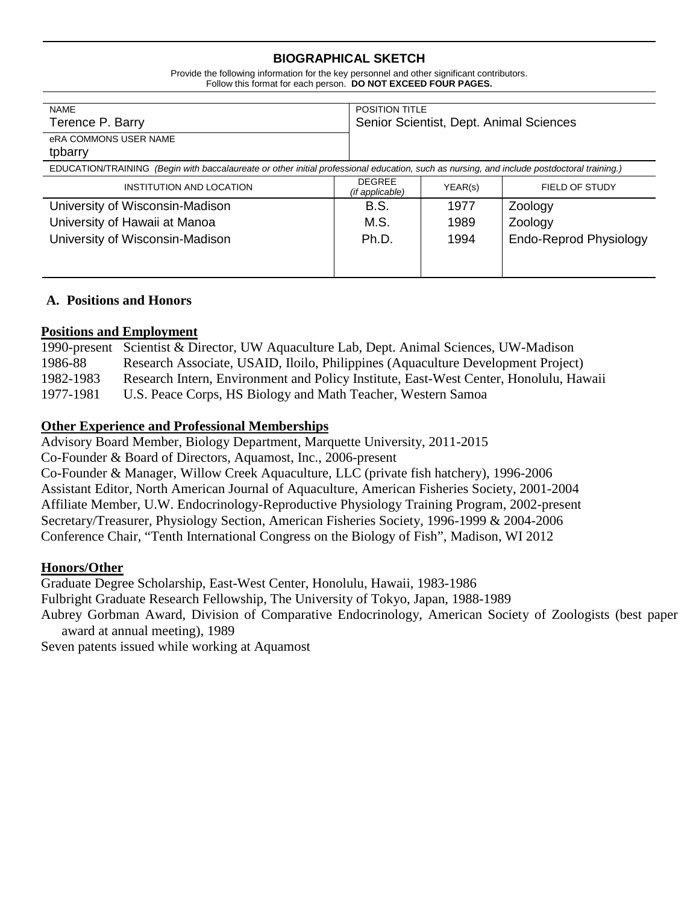# **BIOGRAPHICAL SKETCH**

Provide the following information for the key personnel and other significant contributors. Follow this format for each person. **DO NOT EXCEED FOUR PAGES.**

| <b>NAME</b><br>Terence P. Barry<br>eRA COMMONS USER NAME<br>tpbarry                                                                        |                                  | POSITION TITLE<br>Senior Scientist, Dept. Animal Sciences |                               |  |
|--------------------------------------------------------------------------------------------------------------------------------------------|----------------------------------|-----------------------------------------------------------|-------------------------------|--|
| EDUCATION/TRAINING (Begin with baccalaureate or other initial professional education, such as nursing, and include postdoctoral training.) |                                  |                                                           |                               |  |
| INSTITUTION AND LOCATION                                                                                                                   | <b>DEGREE</b><br>(if applicable) | YEAR(s)                                                   | FIELD OF STUDY                |  |
| University of Wisconsin-Madison                                                                                                            | B.S.                             | 1977                                                      | Zoology                       |  |
| University of Hawaii at Manoa                                                                                                              | M.S.                             | 1989                                                      | Zoology                       |  |
| University of Wisconsin-Madison                                                                                                            | Ph.D.                            | 1994                                                      | <b>Endo-Reprod Physiology</b> |  |

# **A. Positions and Honors**

## **Positions and Employment**

|           | 1990-present Scientist & Director, UW Aquaculture Lab, Dept. Animal Sciences, UW-Madison |
|-----------|------------------------------------------------------------------------------------------|
| 1986-88   | Research Associate, USAID, Iloilo, Philippines (Aquaculture Development Project)         |
| 1982-1983 | Research Intern, Environment and Policy Institute, East-West Center, Honolulu, Hawaii    |
| 1977-1981 | U.S. Peace Corps, HS Biology and Math Teacher, Western Samoa                             |

# **Other Experience and Professional Memberships**

Advisory Board Member, Biology Department, Marquette University, 2011-2015 Co-Founder & Board of Directors, Aquamost, Inc., 2006-present Co-Founder & Manager, Willow Creek Aquaculture, LLC (private fish hatchery), 1996-2006 Assistant Editor, North American Journal of Aquaculture, American Fisheries Society, 2001-2004 Affiliate Member, U.W. Endocrinology-Reproductive Physiology Training Program, 2002-present Secretary/Treasurer, Physiology Section, American Fisheries Society, 1996-1999 & 2004-2006 Conference Chair, "Tenth International Congress on the Biology of Fish", Madison, WI 2012

# **Honors/Other**

Graduate Degree Scholarship, East-West Center, Honolulu, Hawaii, 1983-1986 Fulbright Graduate Research Fellowship, The University of Tokyo, Japan, 1988-1989 Aubrey Gorbman Award, Division of Comparative Endocrinology, American Society of Zoologists (best paper award at annual meeting), 1989

Seven patents issued while working at Aquamost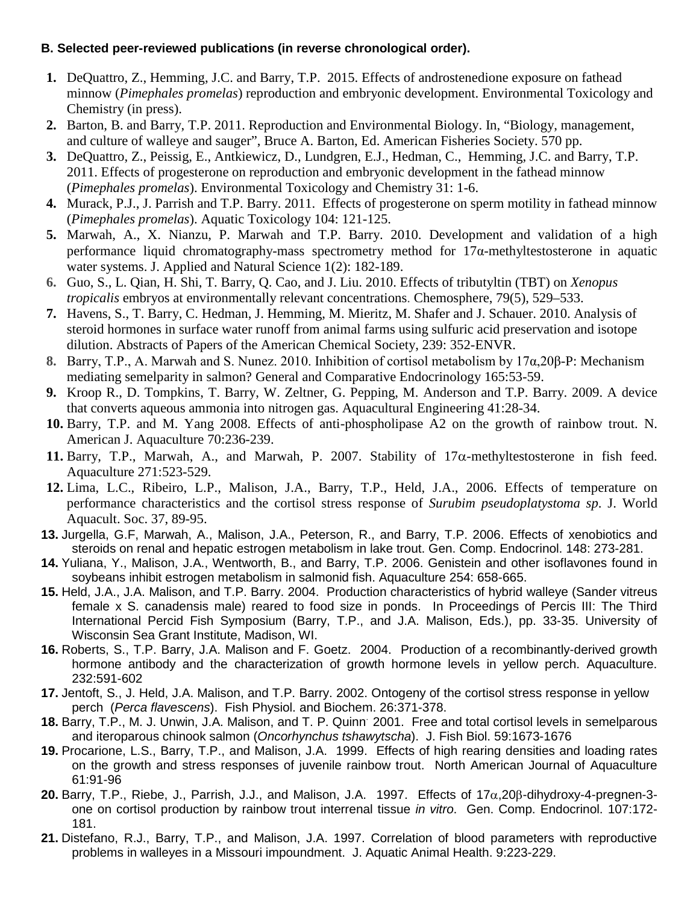# **B. Selected peer-reviewed publications (in reverse chronological order).**

- **1.** DeQuattro, Z., Hemming, J.C. and Barry, T.P. 2015. Effects of androstenedione exposure on fathead minnow (*Pimephales promelas*) reproduction and embryonic development. Environmental Toxicology and Chemistry (in press).
- **2.** Barton, B. and Barry, T.P. 2011. Reproduction and Environmental Biology. In, "Biology, management, and culture of walleye and sauger", Bruce A. Barton, Ed. American Fisheries Society. 570 pp.
- **3.** DeQuattro, Z., Peissig, E., Antkiewicz, D., Lundgren, E.J., Hedman, C., Hemming, J.C. and Barry, T.P. 2011. Effects of progesterone on reproduction and embryonic development in the fathead minnow (*Pimephales promelas*). Environmental Toxicology and Chemistry 31: 1-6.
- **4.** Murack, P.J., J. Parrish and T.P. Barry. 2011. Effects of progesterone on sperm motility in fathead minnow (*Pimephales promelas*). Aquatic Toxicology 104: 121-125.
- **5.** Marwah, A., X. Nianzu, P. Marwah and T.P. Barry. 2010. Development and validation of a high performance liquid chromatography-mass spectrometry method for  $17\alpha$ -methyltestosterone in aquatic water systems. J. Applied and Natural Science 1(2): 182-189.
- **6.** Guo, S., L. Qian, H. Shi, T. Barry, Q. Cao, and J. Liu. 2010. Effects of tributyltin (TBT) on *Xenopus tropicalis* embryos at environmentally relevant concentrations. Chemosphere, 79(5), 529–533.
- **7.** Havens, S., T. Barry, C. Hedman, J. Hemming, M. Mieritz, M. Shafer and J. Schauer. 2010. Analysis of steroid hormones in surface water runoff from animal farms using sulfuric acid preservation and isotope dilution. Abstracts of Papers of the American Chemical Society, 239: 352-ENVR.
- **8.** Barry, T.P., A. Marwah and S. Nunez. 2010. Inhibition of cortisol metabolism by 17α,20β-P: Mechanism mediating semelparity in salmon? General and Comparative Endocrinology 165:53-59.
- **9.** Kroop R., D. Tompkins, T. Barry, W. Zeltner, G. Pepping, M. Anderson and T.P. Barry. 2009. A device that converts aqueous ammonia into nitrogen gas. Aquacultural Engineering 41:28-34.
- **10.** Barry, T.P. and M. Yang 2008. Effects of anti-phospholipase A2 on the growth of rainbow trout. N. American J. Aquaculture 70:236-239.
- **11.** Barry, T.P., Marwah, A., and Marwah, P. 2007. Stability of 17α-methyltestosterone in fish feed. Aquaculture 271:523-529.
- **12.** Lima, L.C., Ribeiro, L.P., Malison, J.A., Barry, T.P., Held, J.A., 2006. Effects of temperature on performance characteristics and the cortisol stress response of *Surubim pseudoplatystoma sp*. J. World Aquacult. Soc. 37, 89-95.
- **13.** Jurgella, G.F, Marwah, A., Malison, J.A., Peterson, R., and Barry, T.P. 2006. Effects of xenobiotics and steroids on renal and hepatic estrogen metabolism in lake trout. Gen. Comp. Endocrinol. 148: 273-281.
- **14.** Yuliana, Y., Malison, J.A., Wentworth, B., and Barry, T.P. 2006. Genistein and other isoflavones found in soybeans inhibit estrogen metabolism in salmonid fish. Aquaculture 254: 658-665.
- **15.** Held, J.A., J.A. Malison, and T.P. Barry. 2004. Production characteristics of hybrid walleye (Sander vitreus female x S. canadensis male) reared to food size in ponds. In Proceedings of Percis III: The Third International Percid Fish Symposium (Barry, T.P., and J.A. Malison, Eds.), pp. 33-35. University of Wisconsin Sea Grant Institute, Madison, WI.
- **16.** Roberts, S., T.P. Barry, J.A. Malison and F. Goetz. 2004. Production of a recombinantly-derived growth hormone antibody and the characterization of growth hormone levels in yellow perch. Aquaculture. 232:591-602
- **17.** Jentoft, S., J. Held, J.A. Malison, and T.P. Barry. 2002. Ontogeny of the cortisol stress response in yellow perch (*Perca flavescens*). Fish Physiol. and Biochem. 26:371-378.
- **18.** Barry, T.P., M. J. Unwin, J.A. Malison, and T. P. Quinn. 2001. Free and total cortisol levels in semelparous and iteroparous chinook salmon (*Oncorhynchus tshawytscha*). J. Fish Biol. 59:1673-1676
- **19.** Procarione, L.S., Barry, T.P., and Malison, J.A. 1999. Effects of high rearing densities and loading rates on the growth and stress responses of juvenile rainbow trout. North American Journal of Aquaculture 61:91-96
- **20.** Barry, T.P., Riebe, J., Parrish, J.J., and Malison, J.A. 1997. Effects of 17α,20β-dihydroxy-4-pregnen-3 one on cortisol production by rainbow trout interrenal tissue *in vitro*. Gen. Comp. Endocrinol. 107:172- 181.
- **21.** Distefano, R.J., Barry, T.P., and Malison, J.A. 1997. Correlation of blood parameters with reproductive problems in walleyes in a Missouri impoundment. J. Aquatic Animal Health. 9:223-229.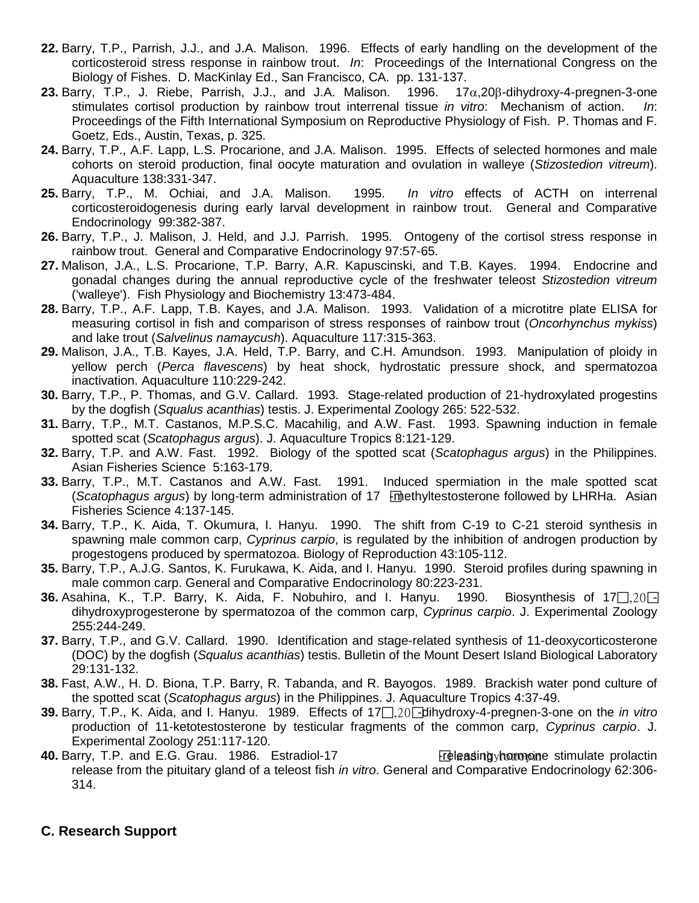- **22.** Barry, T.P., Parrish, J.J., and J.A. Malison. 1996. Effects of early handling on the development of the corticosteroid stress response in rainbow trout. *In*: Proceedings of the International Congress on the Biology of Fishes. D. MacKinlay Ed., San Francisco, CA. pp. 131-137.
- **23.** Barry, T.P., J. Riebe, Parrish, J.J., and J.A. Malison. 1996. 17α,20β-dihydroxy-4-pregnen-3-one stimulates cortisol production by rainbow trout interrenal tissue *in vitro*: Mechanism of action. *In*: Proceedings of the Fifth International Symposium on Reproductive Physiology of Fish. P. Thomas and F. Goetz, Eds., Austin, Texas, p. 325.
- **24.** Barry, T.P., A.F. Lapp, L.S. Procarione, and J.A. Malison. 1995. Effects of selected hormones and male cohorts on steroid production, final oocyte maturation and ovulation in walleye (*Stizostedion vitreum*). Aquaculture 138:331-347.
- **25.** Barry, T.P., M. Ochiai, and J.A. Malison. 1995. *In vitro* effects of ACTH on interrenal corticosteroidogenesis during early larval development in rainbow trout. General and Comparative Endocrinology 99:382-387.
- **26.** Barry, T.P., J. Malison, J. Held, and J.J. Parrish. 1995. Ontogeny of the cortisol stress response in rainbow trout. General and Comparative Endocrinology 97:57-65.
- **27.** Malison, J.A., L.S. Procarione, T.P. Barry, A.R. Kapuscinski, and T.B. Kayes. 1994. Endocrine and gonadal changes during the annual reproductive cycle of the freshwater teleost *Stizostedion vitreum* ('walleye'). Fish Physiology and Biochemistry 13:473-484.
- **28.** Barry, T.P., A.F. Lapp, T.B. Kayes, and J.A. Malison. 1993. Validation of a microtitre plate ELISA for measuring cortisol in fish and comparison of stress responses of rainbow trout (*Oncorhynchus mykiss*) and lake trout (*Salvelinus namaycush*). Aquaculture 117:315-363.
- **29.** Malison, J.A., T.B. Kayes, J.A. Held, T.P. Barry, and C.H. Amundson. 1993. Manipulation of ploidy in yellow perch (*Perca flavescens*) by heat shock, hydrostatic pressure shock, and spermatozoa inactivation. Aquaculture 110:229-242.
- **30.** Barry, T.P., P. Thomas, and G.V. Callard. 1993. Stage-related production of 21-hydroxylated progestins by the dogfish (*Squalus acanthias*) testis. J. Experimental Zoology 265: 522-532.
- **31.** Barry, T.P., M.T. Castanos, M.P.S.C. Macahilig, and A.W. Fast. 1993. Spawning induction in female spotted scat (*Scatophagus argus*). J. Aquaculture Tropics 8:121-129.
- **32.** Barry, T.P. and A.W. Fast. 1992. Biology of the spotted scat (*Scatophagus argus*) in the Philippines. Asian Fisheries Science 5:163-179.
- **33.** Barry, T.P., M.T. Castanos and A.W. Fast. 1991. Induced spermiation in the male spotted scat (*Scatophagus argus*) by long-term administration of 17 -methyltestosterone followed by LHRHa. Asian Fisheries Science 4:137-145.
- **34.** Barry, T.P., K. Aida, T. Okumura, I. Hanyu. 1990. The shift from C-19 to C-21 steroid synthesis in spawning male common carp, *Cyprinus carpio*, is regulated by the inhibition of androgen production by progestogens produced by spermatozoa. Biology of Reproduction 43:105-112.
- **35.** Barry, T.P., A.J.G. Santos, K. Furukawa, K. Aida, and I. Hanyu. 1990. Steroid profiles during spawning in male common carp. General and Comparative Endocrinology 80:223-231.
- **36.** Asahina, K., T.P. Barry, K. Aida, F. Nobuhiro, and I. Hanyu. 1990. Biosynthesis of 17 $\Box$ 20 $\Box$ dihydroxyprogesterone by spermatozoa of the common carp, *Cyprinus carpio*. J. Experimental Zoology 255:244-249.
- **37.** Barry, T.P., and G.V. Callard. 1990. Identification and stage-related synthesis of 11-deoxycorticosterone (DOC) by the dogfish (*Squalus acanthias*) testis. Bulletin of the Mount Desert Island Biological Laboratory 29:131-132.
- **38.** Fast, A.W., H. D. Biona, T.P. Barry, R. Tabanda, and R. Bayogos. 1989. Brackish water pond culture of the spotted scat (*Scatophagus argus*) in the Philippines. J. Aquaculture Tropics 4:37-49.
- **39.** Barry, T.P., K. Aida, and I. Hanyu. 1989. Effects of 17 $\Box$ 20 dihydroxy-4-pregnen-3-one on the *in vitro* production of 11-ketotestosterone by testicular fragments of the common carp, *Cyprinus carpio*. J. Experimental Zoology 251:117-120.
- **40.** Barry, T.P. and E.G. Grau. 1986. Estradiol-17 Freleasing releasing a stimulate prolactin release from the pituitary gland of a teleost fish *in vitro*. General and Comparative Endocrinology 62:306- 314.

# **C. Research Support**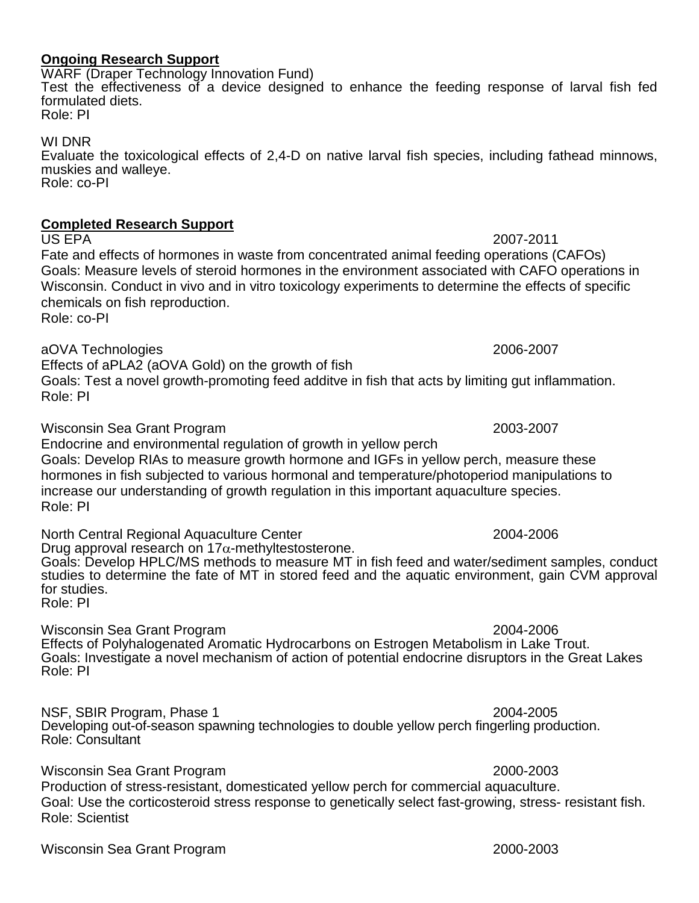### **Ongoing Research Support** WARF (Draper Technology Innovation Fund)

Test the effectiveness of a device designed to enhance the feeding response of larval fish fed formulated diets. Role: PI

WI DNR

Evaluate the toxicological effects of 2,4-D on native larval fish species, including fathead minnows, muskies and walleye. Role: co-PI

# **Completed Research Support**

US EPA 2007-2011 Fate and effects of hormones in waste from concentrated animal feeding operations (CAFOs) Goals: Measure levels of steroid hormones in the environment associated with CAFO operations in Wisconsin. Conduct in vivo and in vitro toxicology experiments to determine the effects of specific chemicals on fish reproduction.

Role: co-PI

aOVA Technologies 2006-2007

Effects of aPLA2 (aOVA Gold) on the growth of fish

Goals: Test a novel growth-promoting feed additve in fish that acts by limiting gut inflammation. Role: PI

Wisconsin Sea Grant Program 2003-2007

Endocrine and environmental regulation of growth in yellow perch Goals: Develop RIAs to measure growth hormone and IGFs in yellow perch, measure these hormones in fish subjected to various hormonal and temperature/photoperiod manipulations to increase our understanding of growth regulation in this important aquaculture species. Role: PI

North Central Regional Aquaculture Center 2004-2006 Drug approval research on 17 $\alpha$ -methyltestosterone. Goals: Develop HPLC/MS methods to measure MT in fish feed and water/sediment samples, conduct studies to determine the fate of MT in stored feed and the aquatic environment, gain CVM approval for studies. Role: PI

Wisconsin Sea Grant Program 2004-2006 Effects of Polyhalogenated Aromatic Hydrocarbons on Estrogen Metabolism in Lake Trout. Goals: Investigate a novel mechanism of action of potential endocrine disruptors in the Great Lakes Role: PI

NSF, SBIR Program, Phase 1 2004-2005 Developing out-of-season spawning technologies to double yellow perch fingerling production. Role: Consultant

Wisconsin Sea Grant Program 2000-2003 Production of stress-resistant, domesticated yellow perch for commercial aquaculture. Goal: Use the corticosteroid stress response to genetically select fast-growing, stress- resistant fish. Role: Scientist